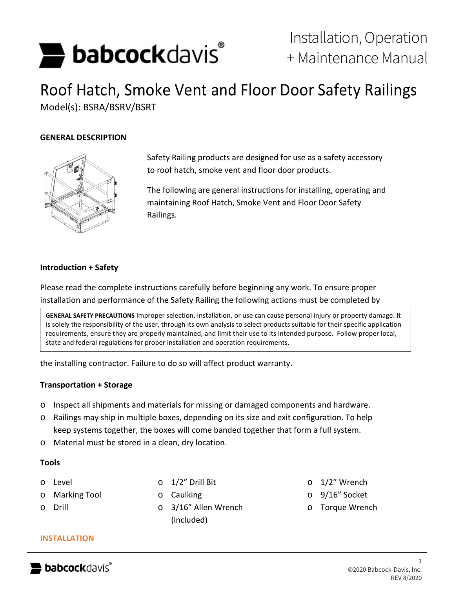# **babcock**davis<sup>®</sup>

# Roof Hatch, Smoke Vent and Floor Door Safety Railings Model(s): BSRA/BSRV/BSRT

# **GENERAL DESCRIPTION**



Safety Railing products are designed for use as a safety accessory to roof hatch, smoke vent and floor door products.

The following are general instructions for installing, operating and maintaining Roof Hatch, Smoke Vent and Floor Door Safety Railings.

## **Introduction + Safety**

Please read the complete instructions carefully before beginning any work. To ensure proper installation and performance of the Safety Railing the following actions must be completed by

**GENERAL SAFETY PRECAUTIONS** Improper selection, installation, or use can cause personal injury or property damage. It is solely the responsibility of the user, through its own analysis to select products suitable for their specific application requirements, ensure they are properly maintained, and limit their use to its intended purpose. Follow proper local, state and federal regulations for proper installation and operation requirements.

the installing contractor. Failure to do so will affect product warranty.

# **Transportation + Storage**

- o Inspect all shipments and materials for missing or damaged components and hardware.
- o Railings may ship in multiple boxes, depending on its size and exit configuration. To help keep systems together, the boxes will come banded together that form a full system.
- o Material must be stored in a clean, dry location.

#### **Tools**

- o Level
- o Marking Tool
- o Drill
- o 1/2" Drill Bit
- o Caulking
- o 3/16" Allen Wrench (included)
- o 1/2" Wrench
- o 9/16" Socket
- o Torque Wrench

#### **INSTALLATION**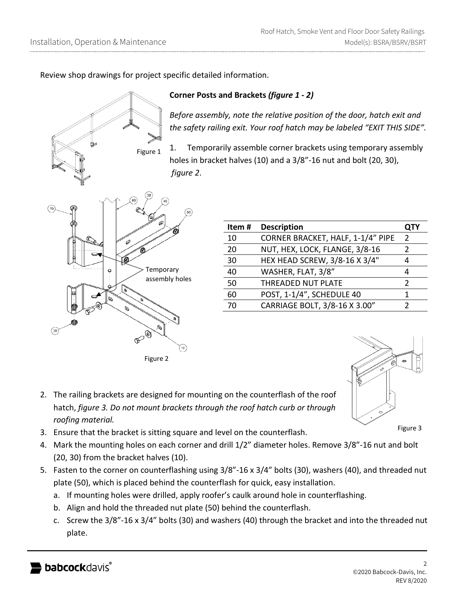Review shop drawings for project specific detailed information.

Figure 1

# **Corner Posts and Brackets** *(figure 1 - 2)*

*Before assembly, note the relative position of the door, hatch exit and the safety railing exit. Your roof hatch may be labeled "EXIT THIS SIDE".*

1. Temporarily assemble corner brackets using temporary assembly holes in bracket halves (10) and a 3/8"-16 nut and bolt (20, 30), *figure 2*.



| Item# | <b>Description</b>                | <b>QTY</b>    |
|-------|-----------------------------------|---------------|
| 10    | CORNER BRACKET, HALF, 1-1/4" PIPE | $\mathcal{P}$ |
| 20    | NUT, HEX, LOCK, FLANGE, 3/8-16    | 7             |
| 30    | HEX HEAD SCREW, 3/8-16 X 3/4"     |               |
| 40    | WASHER, FLAT, 3/8"                |               |
| 50    | <b>THREADED NUT PLATE</b>         | 2             |
| 60    | POST, 1-1/4", SCHEDULE 40         |               |
| 70    | CARRIAGE BOLT, 3/8-16 X 3.00"     |               |
|       |                                   |               |

2. The railing brackets are designed for mounting on the counterflash of the roof hatch, *figure 3. Do not mount brackets through the roof hatch curb or through roofing material.*

Figure 3

- 3. Ensure that the bracket is sitting square and level on the counterflash.
- 4. Mark the mounting holes on each corner and drill 1/2" diameter holes. Remove 3/8"-16 nut and bolt (20, 30) from the bracket halves (10).
- 5. Fasten to the corner on counterflashing using 3/8"-16 x 3/4" bolts (30), washers (40), and threaded nut plate (50), which is placed behind the counterflash for quick, easy installation.
	- a. If mounting holes were drilled, apply roofer's caulk around hole in counterflashing.
	- b. Align and hold the threaded nut plate (50) behind the counterflash.
	- c. Screw the 3/8"-16 x 3/4" bolts (30) and washers (40) through the bracket and into the threaded nut plate.

 $(20$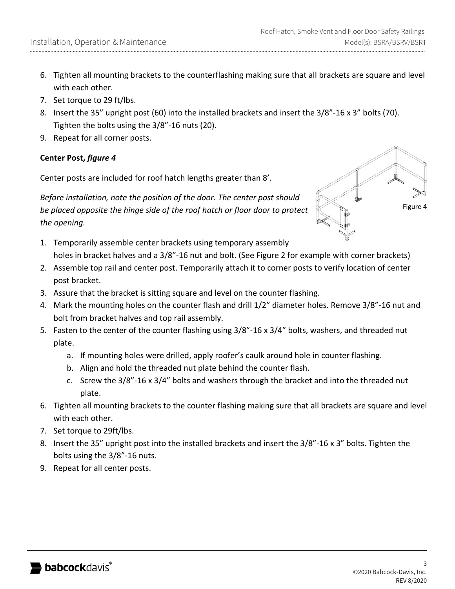- 6. Tighten all mounting brackets to the counterflashing making sure that all brackets are square and level with each other.
- 7. Set torque to 29 ft/lbs.
- 8. Insert the 35" upright post (60) into the installed brackets and insert the 3/8"-16 x 3" bolts (70). Tighten the bolts using the 3/8"-16 nuts (20).
- 9. Repeat for all corner posts.

# **Center Post,** *figure 4*

Center posts are included for roof hatch lengths greater than 8'.

*Before installation, note the position of the door. The center post should be placed opposite the hinge side of the roof hatch or floor door to protect the opening.*



- 1. Temporarily assemble center brackets using temporary assembly holes in bracket halves and a 3/8"-16 nut and bolt. (See Figure 2 for example with corner brackets)
- 2. Assemble top rail and center post. Temporarily attach it to corner posts to verify location of center post bracket.
- 3. Assure that the bracket is sitting square and level on the counter flashing.
- 4. Mark the mounting holes on the counter flash and drill 1/2" diameter holes. Remove 3/8"-16 nut and bolt from bracket halves and top rail assembly.
- 5. Fasten to the center of the counter flashing using 3/8"-16 x 3/4" bolts, washers, and threaded nut plate.
	- a. If mounting holes were drilled, apply roofer's caulk around hole in counter flashing.
	- b. Align and hold the threaded nut plate behind the counter flash.
	- c. Screw the 3/8"-16 x 3/4" bolts and washers through the bracket and into the threaded nut plate.
- 6. Tighten all mounting brackets to the counter flashing making sure that all brackets are square and level with each other.
- 7. Set torque to 29ft/lbs.
- 8. Insert the 35" upright post into the installed brackets and insert the 3/8"-16 x 3" bolts. Tighten the bolts using the 3/8"-16 nuts.
- 9. Repeat for all center posts.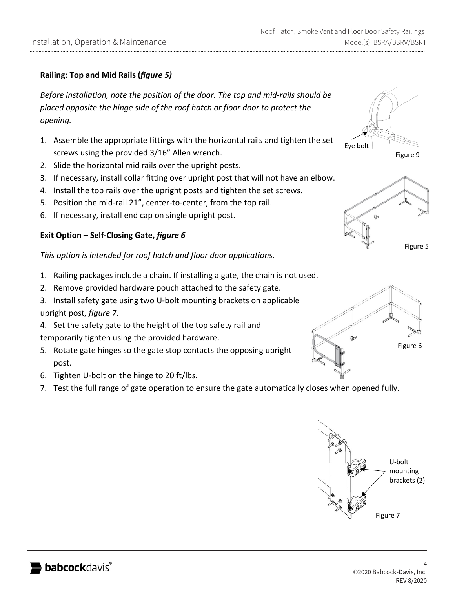# **Railing: Top and Mid Rails (***figure 5)*

*Before installation, note the position of the door. The top and mid-rails should be placed opposite the hinge side of the roof hatch or floor door to protect the opening.*

- 1. Assemble the appropriate fittings with the horizontal rails and tighten the set screws using the provided 3/16" Allen wrench.
- 2. Slide the horizontal mid rails over the upright posts.
- 3. If necessary, install collar fitting over upright post that will not have an elbow.
- 4. Install the top rails over the upright posts and tighten the set screws.
- 5. Position the mid-rail 21", center-to-center, from the top rail.
- 6. If necessary, install end cap on single upright post.

## **Exit Option – Self-Closing Gate,** *figure 6*

*This option is intended for roof hatch and floor door applications.*

- 1. Railing packages include a chain. If installing a gate, the chain is not used.
- 2. Remove provided hardware pouch attached to the safety gate.
- 3. Install safety gate using two U-bolt mounting brackets on applicable upright post, *figure 7*.
- 4. Set the safety gate to the height of the top safety rail and temporarily tighten using the provided hardware.
- 5. Rotate gate hinges so the gate stop contacts the opposing upright post.
- 6. Tighten U-bolt on the hinge to 20 ft/lbs.
- 7. Test the full range of gate operation to ensure the gate automatically closes when opened fully.